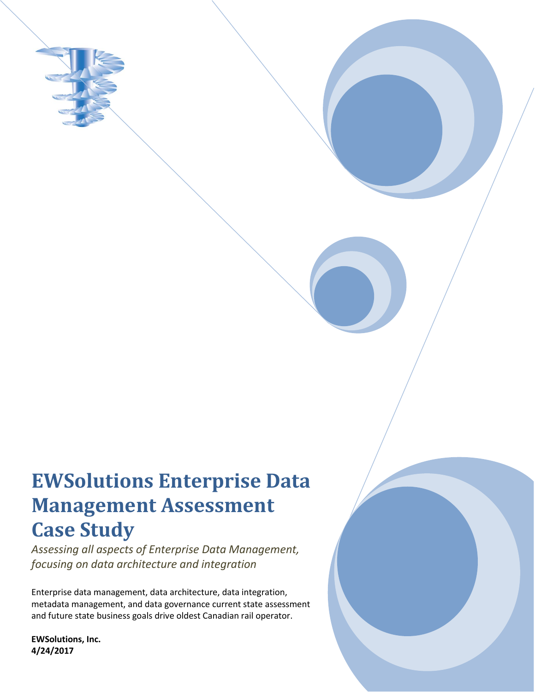

# **EWSolutions Enterprise Data Management Assessment Case Study**

*Assessing all aspects of Enterprise Data Management, focusing on data architecture and integration*

Enterprise data management, data architecture, data integration, metadata management, and data governance current state assessment and future state business goals drive oldest Canadian rail operator.

**EWSolutions, Inc. 4/24/2017**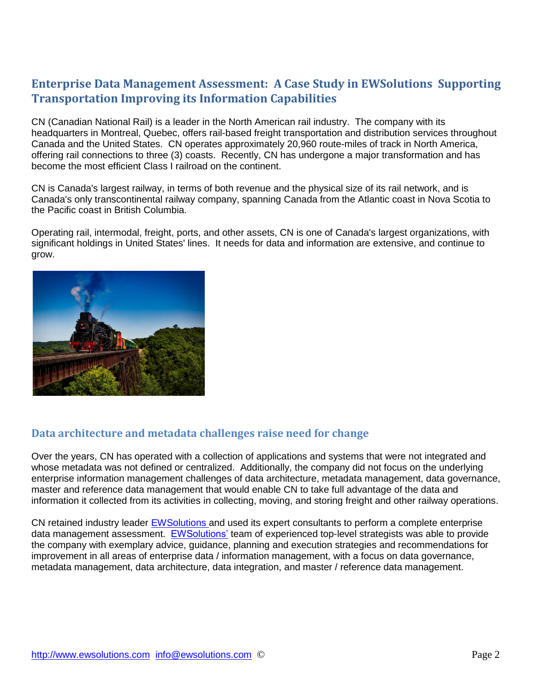# **Enterprise Data Management Assessment: A Case Study in EWSolutions Supporting Transportation Improving its Information Capabilities**

CN (Canadian National Rail) is a leader in the North American rail industry. The company with its headquarters in Montreal, Quebec, offers rail-based freight transportation and distribution services throughout Canada and the United States. CN operates approximately 20,960 route-miles of track in North America, offering rail connections to three (3) coasts. Recently, CN has undergone a major transformation and has become the most efficient Class I railroad on the continent.

CN is Canada's largest railway, in terms of both revenue and the physical size of its rail network, and is Canada's only transcontinental railway company, spanning Canada from the Atlantic coast in Nova Scotia to the Pacific coast in British Columbia.

Operating rail, intermodal, freight, ports, and other assets, CN is one of Canada's largest organizations, with significant holdings in United States' lines. It needs for data and information are extensive, and continue to grow.



### **Data architecture and metadata challenges raise need for change**

Over the years, CN has operated with a collection of applications and systems that were not integrated and whose metadata was not defined or centralized. Additionally, the company did not focus on the underlying enterprise information management challenges of data architecture, metadata management, data governance, master and reference data management that would enable CN to take full advantage of the data and information it collected from its activities in collecting, moving, and storing freight and other railway operations.

CN retained industry leader [EWSolutions a](http://www.ewsolutions.com/)nd used its expert consultants to perform a complete enterprise data management assessment. [EWSolutions'](http://www.ewsolutions.com/) team of experienced top-level strategists was able to provide the company with exemplary advice, guidance, planning and execution strategies and recommendations for improvement in all areas of enterprise data / information management, with a focus on data governance, metadata management, data architecture, data integration, and master / reference data management.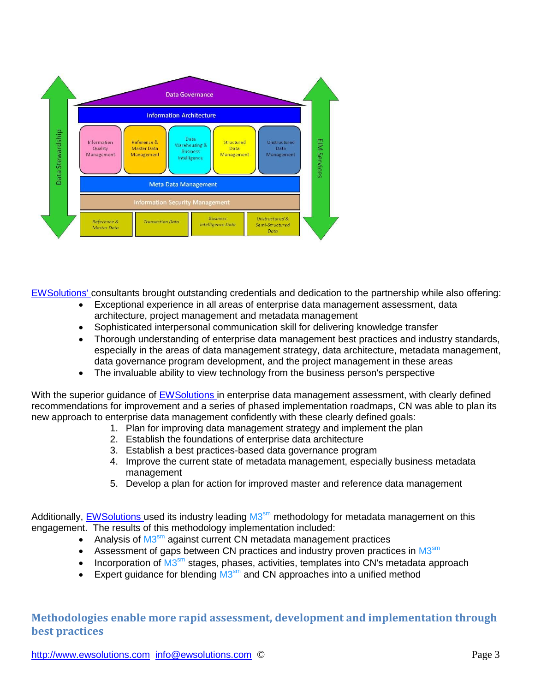

[EWSolutions' c](http://www.ewsolutions.com/)onsultants brought outstanding credentials and dedication to the partnership while also offering:

- Exceptional experience in all areas of enterprise data management assessment, data architecture, project management and metadata management
- Sophisticated interpersonal communication skill for delivering knowledge transfer
- Thorough understanding of enterprise data management best practices and industry standards, especially in the areas of data management strategy, data architecture, metadata management, data governance program development, and the project management in these areas
- The invaluable ability to view technology from the business person's perspective

With the superior guidance of [EWSolutions i](http://www.ewsolutions.com/)n enterprise data management assessment, with clearly defined recommendations for improvement and a series of phased implementation roadmaps, CN was able to plan its new approach to enterprise data management confidently with these clearly defined goals:

- 1. Plan for improving data management strategy and implement the plan
	- 2. Establish the foundations of enterprise data architecture
	- 3. Establish a best practices-based data governance program
- 4. Improve the current state of metadata management, especially business metadata management
- 5. Develop a plan for action for improved master and reference data management

Additionally, **EWSolutions** used its industry leading M3<sup>sm</sup> methodology for metadata management on this engagement. The results of this methodology implementation included:

- Analysis of M3<sup>sm</sup> against current CN metadata management practices
- Assessment of gaps between CN practices and industry proven practices in M3<sup>sm</sup>
- Incorporation of M3<sup>sm</sup> stages, phases, activities, templates into CN's metadata approach
- Expert guidance for blending  $M3<sup>sm</sup>$  and CN approaches into a unified method

**Methodologies enable more rapid assessment, development and implementation through best practices**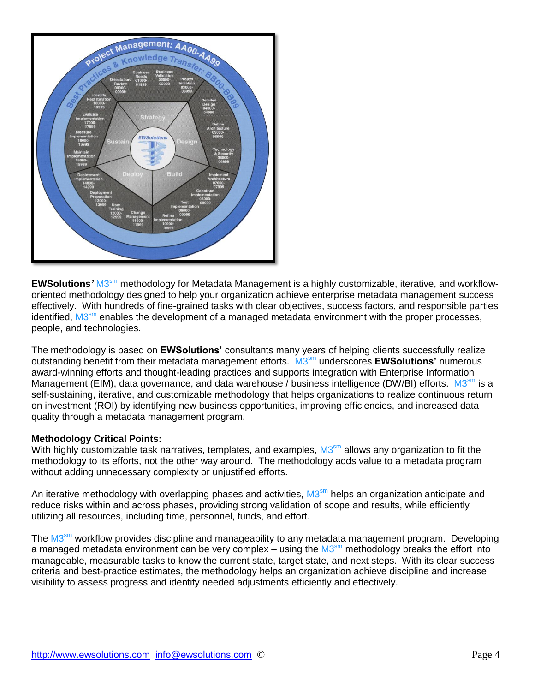

EWSolutions' M3<sup>sm</sup> methodology for Metadata Management is a highly customizable, iterative, and workfloworiented methodology designed to help your organization achieve enterprise metadata management success effectively. With hundreds of fine-grained tasks with clear objectives, success factors, and responsible parties identified, M3<sup>sm</sup> enables the development of a managed metadata environment with the proper processes, people, and technologies.

The methodology is based on **EWSolutions'** consultants many years of helping clients successfully realize outstanding benefit from their metadata management efforts. M3 sm underscores **EWSolutions'** numerous award-winning efforts and thought-leading practices and supports integration with Enterprise Information Management (EIM), data governance, and data warehouse / business intelligence (DW/BI) efforts. M3<sup>sm</sup> is a self-sustaining, iterative, and customizable methodology that helps organizations to realize continuous return on investment (ROI) by identifying new business opportunities, improving efficiencies, and increased data quality through a metadata management program.

#### **Methodology Critical Points:**

With highly customizable task narratives, templates, and examples, M3<sup>sm</sup> allows any organization to fit the methodology to its efforts, not the other way around. The methodology adds value to a metadata program without adding unnecessary complexity or unjustified efforts.

An iterative methodology with overlapping phases and activities, M3<sup>sm</sup> helps an organization anticipate and reduce risks within and across phases, providing strong validation of scope and results, while efficiently utilizing all resources, including time, personnel, funds, and effort.

The M3<sup>sm</sup> workflow provides discipline and manageability to any metadata management program. Developing a managed metadata environment can be very complex – using the M3<sup>sm</sup> methodology breaks the effort into manageable, measurable tasks to know the current state, target state, and next steps. With its clear success criteria and best-practice estimates, the methodology helps an organization achieve discipline and increase visibility to assess progress and identify needed adjustments efficiently and effectively.